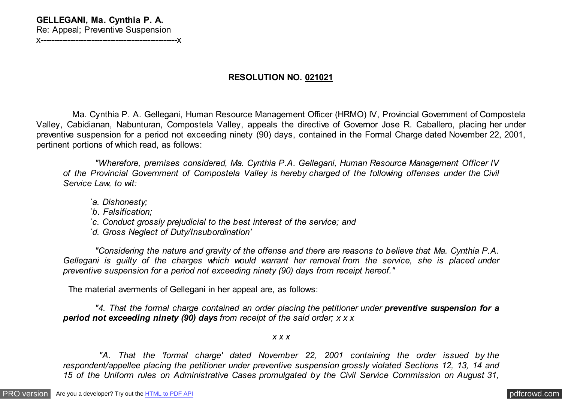# **GELLEGANI, Ma. Cynthia P. A.**

Re: Appeal; Preventive Suspension x---------------------------------------------------x

# **RESOLUTION NO. 021021**

 Ma. Cynthia P. A. Gellegani, Human Resource Management Officer (HRMO) IV, Provincial Government of Compostela Valley, Cabidianan, Nabunturan, Compostela Valley, appeals the directive of Governor Jose R. Caballero, placing her under preventive suspension for a period not exceeding ninety (90) days, contained in the Formal Charge dated November 22, 2001, pertinent portions of which read, as follows:

 *"Wherefore, premises considered, Ma. Cynthia P.A. Gellegani, Human Resource Management Officer IV of the Provincial Government of Compostela Valley is hereby charged of the following offenses under the Civil Service Law, to wit:*

- *`a. Dishonesty;*
- *`b. Falsification;*
- *`c. Conduct grossly prejudicial to the best interest of the service; and*
- *`d. Gross Neglect of Duty/Insubordination'*

 *"Considering the nature and gravity of the offense and there are reasons to believe that Ma. Cynthia P.A. Gellegani is guilty of the charges which would warrant her removal from the service, she is placed under preventive suspension for a period not exceeding ninety (90) days from receipt hereof."*

The material averments of Gellegani in her appeal are, as follows:

 *"4. That the formal charge contained an order placing the petitioner under preventive suspension for a period not exceeding ninety (90) days from receipt of the said order; x x x*

## *x x x*

 *"A. That the 'formal charge' dated November 22, 2001 containing the order issued by the respondent/appellee placing the petitioner under preventive suspension grossly violated Sections 12, 13, 14 and 15 of the Uniform rules on Administrative Cases promulgated by the Civil Service Commission on August 31,*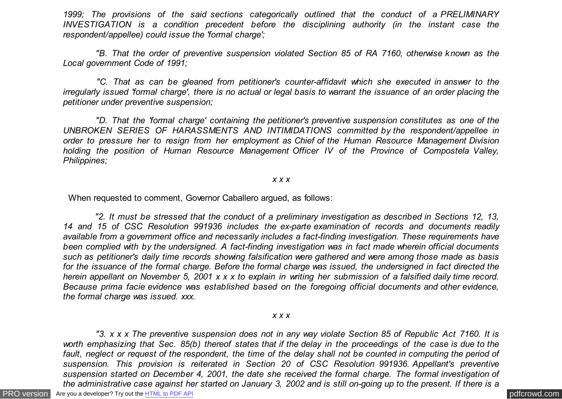*1999; The provisions of the said sections categorically outlined that the conduct of a PRELIMINARY INVESTIGATION is a condition precedent before the disciplining authority (in the instant case the respondent/appellee) could issue the 'formal charge';*

 *"B. That the order of preventive suspension violated Section 85 of RA 7160, otherwise known as the Local government Code of 1991;*

 *"C. That as can be gleaned from petitioner's counter-affidavit which she executed in answer to the irregularly issued 'formal charge', there is no actual or legal basis to warrant the issuance of an order placing the petitioner under preventive suspension;*

 *"D. That the 'formal charge' containing the petitioner's preventive suspension constitutes as one of the UNBROKEN SERIES OF HARASSMENTS AND INTIMIDATIONS committed by the respondent/appellee in order to pressure her to resign from her employment as Chief of the Human Resource Management Division holding the position of Human Resource Management Officer IV of the Province of Compostela Valley, Philippines;*

#### *x x x*

When requested to comment, Governor Caballero argued, as follows:

 *"2. It must be stressed that the conduct of a preliminary investigation as described in Sections 12, 13, 14 and 15 of CSC Resolution 991936 includes the ex-parte examination of records and documents readily available from a government office and necessarily includes a fact-finding investigation. These requirements have been complied with by the undersigned. A fact-finding investigation was in fact made wherein official documents such as petitioner's daily time records showing falsification were gathered and were among those made as basis for the issuance of the formal charge. Before the formal charge was issued, the undersigned in fact directed the herein appellant on November 5, 2001 x x x to explain in writing her submission of a falsified daily time record. Because prima facie evidence was established based on the foregoing official documents and other evidence, the formal charge was issued. xxx.*

#### *x x x*

[PRO version](http://pdfcrowd.com/customize/) Are you a developer? Try out th[e HTML to PDF API](http://pdfcrowd.com/html-to-pdf-api/?ref=pdf) contract the contract of the HTML to PDF API [pdfcrowd.com](http://pdfcrowd.com)  *"3. x x x The preventive suspension does not in any way violate Section 85 of Republic Act 7160. It is worth emphasizing that Sec. 85(b) thereof states that if the delay in the proceedings of the case is due to the fault, neglect or request of the respondent, the time of the delay shall not be counted in computing the period of suspension. This provision is reiterated in Section 20 of CSC Resolution 991936. Appellant's preventive suspension started on December 4, 2001, the date she received the formal charge. The formal investigation of the administrative case against her started on January 3, 2002 and is still on-going up to the present. If there is a*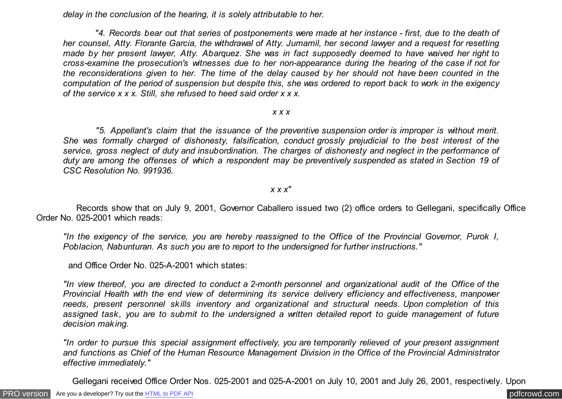*delay in the conclusion of the hearing, it is solely attributable to her.*

 *"4. Records bear out that series of postponements were made at her instance - first, due to the death of her counsel, Atty. Florante Garcia, the withdrawal of Atty. Jumamil, her second lawyer and a request for resetting made by her present lawyer, Atty. Abarquez. She was in fact supposedly deemed to have waived her right to cross-examine the prosecution's witnesses due to her non-appearance during the hearing of the case if not for the reconsiderations given to her. The time of the delay caused by her should not have been counted in the computation of the period of suspension but despite this, she was ordered to report back to work in the exigency of the service x x x. Still, she refused to heed said order x x x.*

#### *x x x*

 *"5. Appellant's claim that the issuance of the preventive suspension order is improper is without merit. She was formally charged of dishonesty, falsification, conduct grossly prejudicial to the best interest of the service, gross neglect of duty and insubordination. The charges of dishonesty and neglect in the performance of duty are among the offenses of which a respondent may be preventively suspended as stated in Section 19 of CSC Resolution No. 991936.*

## *x x x"*

 Records show that on July 9, 2001, Governor Caballero issued two (2) office orders to Gellegani, specifically Office Order No. 025-2001 which reads:

*"In the exigency of the service, you are hereby reassigned to the Office of the Provincial Governor, Purok I, Poblacion, Nabunturan. As such you are to report to the undersigned for further instructions."*

and Office Order No. 025-A-2001 which states:

*"In view thereof, you are directed to conduct a 2-month personnel and organizational audit of the Office of the Provincial Health with the end view of determining its service delivery efficiency and effectiveness, manpower needs, present personnel skills inventory and organizational and structural needs. Upon completion of this assigned task, you are to submit to the undersigned a written detailed report to guide management of future decision making.*

*"In order to pursue this special assignment effectively, you are temporarily relieved of your present assignment and functions as Chief of the Human Resource Management Division in the Office of the Provincial Administrator effective immediately."*

Gellegani received Office Order Nos. 025-2001 and 025-A-2001 on July 10, 2001 and July 26, 2001, respectively. Upon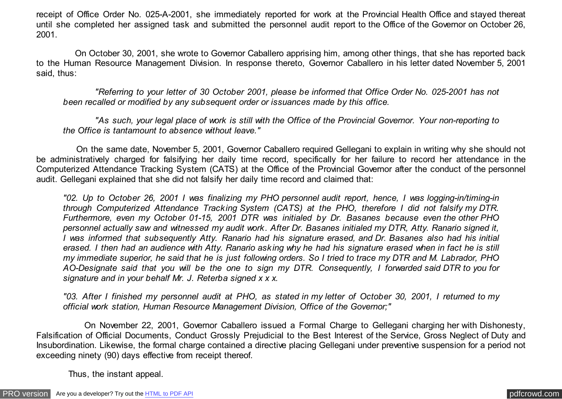receipt of Office Order No. 025-A-2001, she immediately reported for work at the Provincial Health Office and stayed thereat until she completed her assigned task and submitted the personnel audit report to the Office of the Governor on October 26, 2001.

 On October 30, 2001, she wrote to Governor Caballero apprising him, among other things, that she has reported back to the Human Resource Management Division. In response thereto, Governor Caballero in his letter dated November 5, 2001 said, thus:

 *"Referring to your letter of 30 October 2001, please be informed that Office Order No. 025-2001 has not been recalled or modified by any subsequent order or issuances made by this office.*

 *"As such, your legal place of work is still with the Office of the Provincial Governor. Your non-reporting to the Office is tantamount to absence without leave."*

 On the same date, November 5, 2001, Governor Caballero required Gellegani to explain in writing why she should not be administratively charged for falsifying her daily time record, specifically for her failure to record her attendance in the Computerized Attendance Tracking System (CATS) at the Office of the Provincial Governor after the conduct of the personnel audit. Gellegani explained that she did not falsify her daily time record and claimed that:

*"02. Up to October 26, 2001 I was finalizing my PHO personnel audit report, hence, I was logging-in/timing-in through Computerized Attendance Tracking System (CATS) at the PHO, therefore I did not falsify my DTR. Furthermore, even my October 01-15, 2001 DTR was initialed by Dr. Basanes because even the other PHO personnel actually saw and witnessed my audit work. After Dr. Basanes initialed my DTR, Atty. Ranario signed it, I was informed that subsequently Atty. Ranario had his signature erased, and Dr. Basanes also had his initial erased. I then had an audience with Atty. Ranario asking why he had his signature erased when in fact he is still my immediate superior, he said that he is just following orders. So I tried to trace my DTR and M. Labrador, PHO AO-Designate said that you will be the one to sign my DTR. Consequently, I forwarded said DTR to you for signature and in your behalf Mr. J. Reterba signed x x x.*

*"03. After I finished my personnel audit at PHO, as stated in my letter of October 30, 2001, I returned to my official work station, Human Resource Management Division, Office of the Governor;"*

 On November 22, 2001, Governor Caballero issued a Formal Charge to Gellegani charging her with Dishonesty, Falsification of Official Documents, Conduct Grossly Prejudicial to the Best Interest of the Service, Gross Neglect of Duty and Insubordination. Likewise, the formal charge contained a directive placing Gellegani under preventive suspension for a period not exceeding ninety (90) days effective from receipt thereof.

Thus, the instant appeal.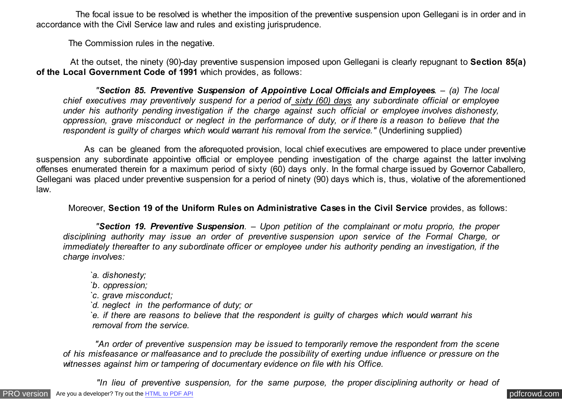The focal issue to be resolved is whether the imposition of the preventive suspension upon Gellegani is in order and in accordance with the Civil Service law and rules and existing jurisprudence.

The Commission rules in the negative.

 At the outset, the ninety (90)-day preventive suspension imposed upon Gellegani is clearly repugnant to **Section 85(a) of the Local Government Code of 1991** which provides, as follows:

 *"Section 85. Preventive Suspension of Appointive Local Officials and Employees. – (a) The local chief executives may preventively suspend for a period of sixty (60) days any subordinate official or employee under his authority pending investigation if the charge against such official or employee involves dishonesty, oppression, grave misconduct or neglect in the performance of duty, or if there is a reason to believe that the respondent is guilty of charges which would warrant his removal from the service."* (Underlining supplied)

 As can be gleaned from the aforequoted provision, local chief executives are empowered to place under preventive suspension any subordinate appointive official or employee pending investigation of the charge against the latter involving offenses enumerated therein for a maximum period of sixty (60) days only. In the formal charge issued by Governor Caballero, Gellegani was placed under preventive suspension for a period of ninety (90) days which is, thus, violative of the aforementioned law.

Moreover, **Section 19 of the Uniform Rules on Administrative Cases in the Civil Service** provides, as follows:

 *"Section 19. Preventive Suspension. – Upon petition of the complainant or motu proprio, the proper disciplining authority may issue an order of preventive suspension upon service of the Formal Charge, or immediately thereafter to any subordinate officer or employee under his authority pending an investigation, if the charge involves:*

- *`a. dishonesty;*
- *`b. oppression;*
- *`c. grave misconduct;*
- *`d. neglect in the performance of duty; or*

*`e. if there are reasons to believe that the respondent is guilty of charges which would warrant his removal from the service.*

 *"An order of preventive suspension may be issued to temporarily remove the respondent from the scene of his misfeasance or malfeasance and to preclude the possibility of exerting undue influence or pressure on the witnesses against him or tampering of documentary evidence on file with his Office.*

 *"In lieu of preventive suspension, for the same purpose, the proper disciplining authority or head of*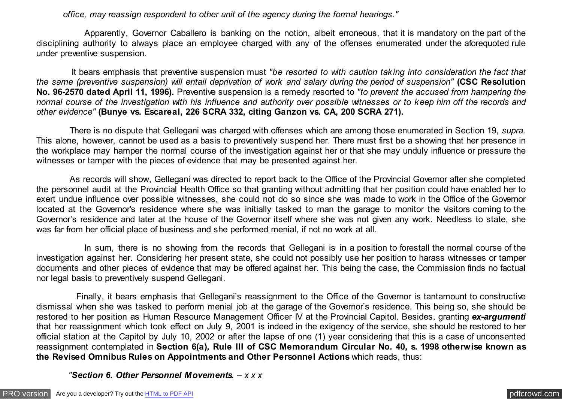*office, may reassign respondent to other unit of the agency during the formal hearings."*

 Apparently, Governor Caballero is banking on the notion, albeit erroneous, that it is mandatory on the part of the disciplining authority to always place an employee charged with any of the offenses enumerated under the aforequoted rule under preventive suspension.

 It bears emphasis that preventive suspension must *"be resorted to with caution taking into consideration the fact that the same (preventive suspension) will entail deprivation of work and salary during the period of suspension"* **(CSC Resolution No. 96-2570 dated April 11, 1996).** Preventive suspension is a remedy resorted to *"to prevent the accused from hampering the normal course of the investigation with his influence and authority over possible witnesses or to keep him off the records and other evidence"* **(Bunye vs. Escareal, 226 SCRA 332, citing Ganzon vs. CA, 200 SCRA 271).**

 There is no dispute that Gellegani was charged with offenses which are among those enumerated in Section 19, *supra.* This alone, however, cannot be used as a basis to preventively suspend her. There must first be a showing that her presence in the workplace may hamper the normal course of the investigation against her or that she may unduly influence or pressure the witnesses or tamper with the pieces of evidence that may be presented against her.

 As records will show, Gellegani was directed to report back to the Office of the Provincial Governor after she completed the personnel audit at the Provincial Health Office so that granting without admitting that her position could have enabled her to exert undue influence over possible witnesses, she could not do so since she was made to work in the Office of the Governor located at the Governor's residence where she was initially tasked to man the garage to monitor the visitors coming to the Governor's residence and later at the house of the Governor itself where she was not given any work. Needless to state, she was far from her official place of business and she performed menial, if not no work at all.

 In sum, there is no showing from the records that Gellegani is in a position to forestall the normal course of the investigation against her. Considering her present state, she could not possibly use her position to harass witnesses or tamper documents and other pieces of evidence that may be offered against her. This being the case, the Commission finds no factual nor legal basis to preventively suspend Gellegani.

 Finally, it bears emphasis that Gellegani's reassignment to the Office of the Governor is tantamount to constructive dismissal when she was tasked to perform menial job at the garage of the Governor's residence. This being so, she should be restored to her position as Human Resource Management Officer IV at the Provincial Capitol. Besides, granting *ex-argumenti* that her reassignment which took effect on July 9, 2001 is indeed in the exigency of the service, she should be restored to her official station at the Capitol by July 10, 2002 or after the lapse of one (1) year considering that this is a case of unconsented reassignment contemplated in **Section 6(a), Rule III of CSC Memorandum Circular No. 40, s. 1998 otherwise known as the Revised Omnibus Rules on Appointments and Other Personnel Actions** which reads, thus:

 *"Section 6. Other Personnel Movements. – x x x*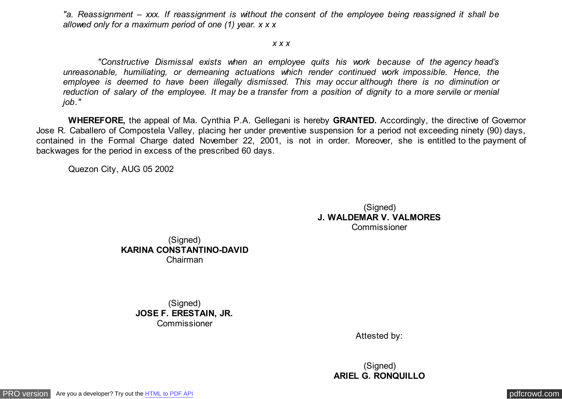*"a. Reassignment – xxx. If reassignment is without the consent of the employee being reassigned it shall be allowed only for a maximum period of one (1) year. x x x*

#### *x x x*

 *"Constructive Dismissal exists when an employee quits his work because of the agency head's unreasonable, humiliating, or demeaning actuations which render continued work impossible. Hence, the employee is deemed to have been illegally dismissed. This may occur although there is no diminution or reduction of salary of the employee. It may be a transfer from a position of dignity to a more servile or menial job."*

 **WHEREFORE,** the appeal of Ma. Cynthia P.A. Gellegani is hereby **GRANTED.** Accordingly, the directive of Governor Jose R. Caballero of Compostela Valley, placing her under preventive suspension for a period not exceeding ninety (90) days, contained in the Formal Charge dated November 22, 2001, is not in order. Moreover, she is entitled to the payment of backwages for the period in excess of the prescribed 60 days.

Quezon City, AUG 05 2002

(Signed) **J. WALDEMAR V. VALMORES** Commissioner

(Signed) **KARINA CONSTANTINO-DAVID** Chairman

> (Signed) **JOSE F. ERESTAIN, JR.** Commissioner

> > Attested by:

(Signed) **ARIEL G. RONQUILLO**